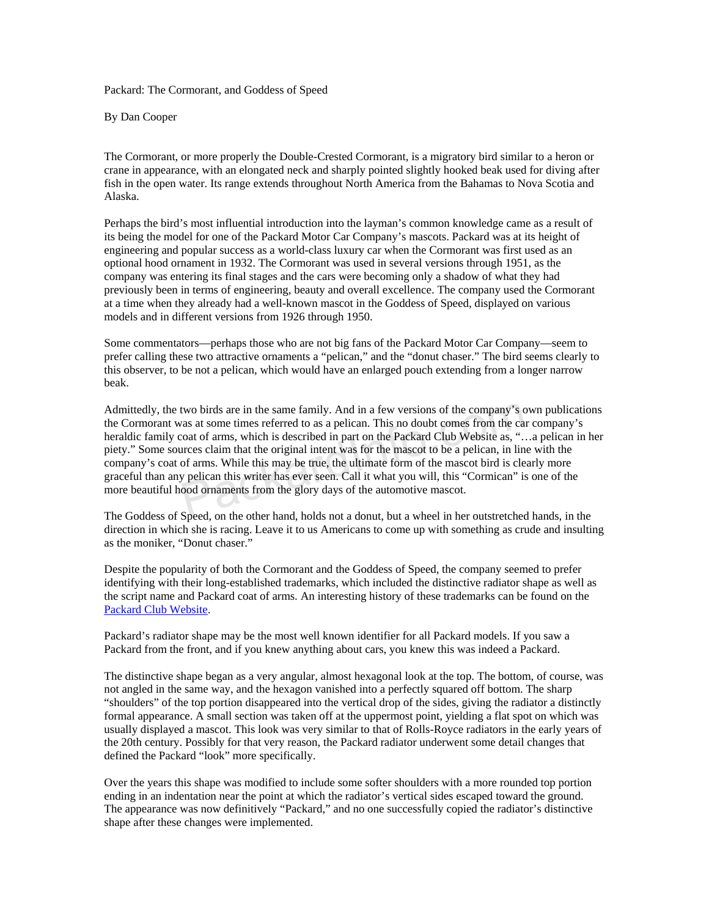Packard: The Cormorant, and Goddess of Speed

By Dan Cooper

The Cormorant, or more properly the Double-Crested Cormorant, is a migratory bird similar to a heron or crane in appearance, with an elongated neck and sharply pointed slightly hooked beak used for diving after fish in the open water. Its range extends throughout North America from the Bahamas to Nova Scotia and Alaska.

Perhaps the bird's most influential introduction into the layman's common knowledge came as a result of its being the model for one of the Packard Motor Car Company's mascots. Packard was at its height of engineering and popular success as a world-class luxury car when the Cormorant was first used as an optional hood ornament in 1932. The Cormorant was used in several versions through 1951, as the company was entering its final stages and the cars were becoming only a shadow of what they had previously been in terms of engineering, beauty and overall excellence. The company used the Cormorant at a time when they already had a well-known mascot in the Goddess of Speed, displayed on various models and in different versions from 1926 through 1950.

Some commentators—perhaps those who are not big fans of the Packard Motor Car Company—seem to prefer calling these two attractive ornaments a "pelican," and the "donut chaser." The bird seems clearly to this observer, to be not a pelican, which would have an enlarged pouch extending from a longer narrow beak.

Admittedly, the two birds are in the same family. And in a few versions of the company's own publications the Cormorant was at some times referred to as a pelican. This no doubt comes from the car company's heraldic family coat of arms, which is described in part on the Packard Club Website as, "…a pelican in her piety." Some sources claim that the original intent was for the mascot to be a pelican, in line with the company's coat of arms. While this may be true, the ultimate form of the mascot bird is clearly more graceful than any pelican this writer has ever seen. Call it what you will, this "Cormican" is one of the more beautiful hood ornaments from the glory days of the automotive mascot. two birds are in the same family. And in a few versions of the company's cas at some times referred to as a pelican. This no doubt comes from the ca coat of arms, which is described in part on the Packard Club Website as,

The Goddess of Speed, on the other hand, holds not a donut, but a wheel in her outstretched hands, in the direction in which she is racing. Leave it to us Americans to come up with something as crude and insulting as the moniker, "Donut chaser."

Despite the popularity of both the Cormorant and the Goddess of Speed, the company seemed to prefer identifying with their long-established trademarks, which included the distinctive radiator shape as well as the script name and Packard coat of arms. An interesting history of these trademarks can be found on the Packard Club Website.

Packard's radiator shape may be the most well known identifier for all Packard models. If you saw a Packard from the front, and if you knew anything about cars, you knew this was indeed a Packard.

The distinctive shape began as a very angular, almost hexagonal look at the top. The bottom, of course, was not angled in the same way, and the hexagon vanished into a perfectly squared off bottom. The sharp "shoulders" of the top portion disappeared into the vertical drop of the sides, giving the radiator a distinctly formal appearance. A small section was taken off at the uppermost point, yielding a flat spot on which was usually displayed a mascot. This look was very similar to that of Rolls-Royce radiators in the early years of the 20th century. Possibly for that very reason, the Packard radiator underwent some detail changes that defined the Packard "look" more specifically.

Over the years this shape was modified to include some softer shoulders with a more rounded top portion ending in an indentation near the point at which the radiator's vertical sides escaped toward the ground. The appearance was now definitively "Packard," and no one successfully copied the radiator's distinctive shape after these changes were implemented.